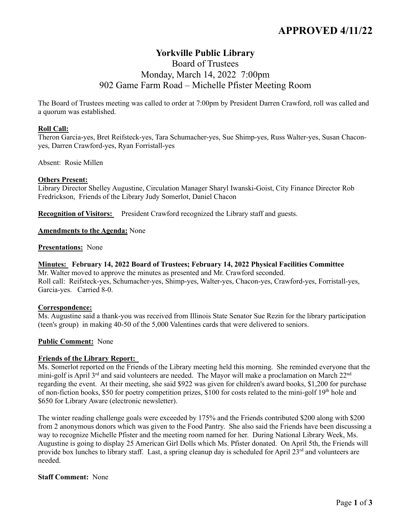# **APPROVED 4/11/22**

# **Yorkville Public Library**

# Board of Trustees Monday, March 14, 2022 7:00pm 902 Game Farm Road – Michelle Pfister Meeting Room

The Board of Trustees meeting was called to order at 7:00pm by President Darren Crawford, roll was called and a quorum was established.

#### **Roll Call:**

Theron Garcia-yes, Bret Reifsteck-yes, Tara Schumacher-yes, Sue Shimp-yes, Russ Walter-yes, Susan Chaconyes, Darren Crawford-yes, Ryan Forristall-yes

Absent: Rosie Millen

#### **Others Present:**

Library Director Shelley Augustine, Circulation Manager Sharyl Iwanski-Goist, City Finance Director Rob Fredrickson, Friends of the Library Judy Somerlot, Daniel Chacon

**Recognition of Visitors:** President Crawford recognized the Library staff and guests.

**Amendments to the Agenda:** None

**Presentations:** None

#### **Minutes: February 14, 2022 Board of Trustees; February 14, 2022 Physical Facilities Committee**

Mr. Walter moved to approve the minutes as presented and Mr. Crawford seconded. Roll call: Reifsteck-yes, Schumacher-yes, Shimp-yes, Walter-yes, Chacon-yes, Crawford-yes, Forristall-yes, Garcia-yes. Carried 8-0.

#### **Correspondence:**

Ms. Augustine said a thank-you was received from Illinois State Senator Sue Rezin for the library participation (teen's group) in making 40-50 of the 5,000 Valentines cards that were delivered to seniors.

#### **Public Comment:** None

#### **Friends of the Library Report:**

Ms. Somerlot reported on the Friends of the Library meeting held this morning. She reminded everyone that the mini-golf is April 3<sup>rd</sup> and said volunteers are needed. The Mayor will make a proclamation on March 22<sup>nd</sup> regarding the event. At their meeting, she said \$922 was given for children's award books, \$1,200 for purchase of non-fiction books, \$50 for poetry competition prizes, \$100 for costs related to the mini-golf  $19<sup>th</sup>$  hole and \$650 for Library Aware (electronic newsletter).

The winter reading challenge goals were exceeded by 175% and the Friends contributed \$200 along with \$200 from 2 anonymous donors which was given to the Food Pantry. She also said the Friends have been discussing a way to recognize Michelle Pfister and the meeting room named for her. During National Library Week, Ms. Augustine is going to display 25 American Girl Dolls which Ms. Pfister donated. On April 5th, the Friends will provide box lunches to library staff. Last, a spring cleanup day is scheduled for April  $23<sup>rd</sup>$  and volunteers are needed.

#### **Staff Comment:** None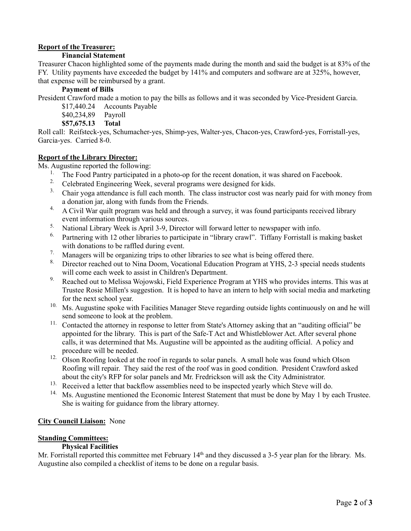## **Report of the Treasurer:**

#### **Financial Statement**

Treasurer Chacon highlighted some of the payments made during the month and said the budget is at 83% of the FY. Utility payments have exceeded the budget by 141% and computers and software are at 325%, however, that expense will be reimbursed by a grant.

### **Payment of Bills**

President Crawford made a motion to pay the bills as follows and it was seconded by Vice-President Garcia.

- \$17,440.24 Accounts Payable
- \$40,234,89 Payroll

# **\$57,675.13 Total**

Roll call: Reifsteck-yes, Schumacher-yes, Shimp-yes, Walter-yes, Chacon-yes, Crawford-yes, Forristall-yes, Garcia-yes. Carried 8-0.

#### **Report of the Library Director:**

Ms. Augustine reported the following:

- <sup>1.</sup> The Food Pantry participated in a photo-op for the recent donation, it was shared on Facebook.
- <sup>2.</sup> Celebrated Engineering Week, several programs were designed for kids.
- <sup>3.</sup> Chair yoga attendance is full each month. The class instructor cost was nearly paid for with money from a donation jar, along with funds from the Friends.
- <sup>4.</sup> A Civil War quilt program was held and through a survey, it was found participants received library event information through various sources.
- 5. National Library Week is April 3-9, Director will forward letter to newspaper with info.
- 6. Partnering with 12 other libraries to participate in "library crawl". Tiffany Forristall is making basket with donations to be raffled during event.
- <sup>7.</sup> Managers will be organizing trips to other libraries to see what is being offered there.
- 8. Director reached out to Nina Doom, Vocational Education Program at YHS, 2-3 special needs students will come each week to assist in Children's Department.
- <sup>9.</sup> Reached out to Melissa Wojowski, Field Experience Program at YHS who provides interns. This was at Trustee Rosie Millen's suggestion. It is hoped to have an intern to help with social media and marketing for the next school year.
- <sup>10.</sup> Ms. Augustine spoke with Facilities Manager Steve regarding outside lights continuously on and he will send someone to look at the problem.
- <sup>11.</sup> Contacted the attorney in response to letter from State's Attorney asking that an "auditing official" be appointed for the library. This is part of the Safe-T Act and Whistleblower Act. After several phone calls, it was determined that Ms. Augustine will be appointed as the auditing official. A policy and procedure will be needed.
- <sup>12.</sup> Olson Roofing looked at the roof in regards to solar panels. A small hole was found which Olson Roofing will repair. They said the rest of the roof was in good condition. President Crawford asked about the city's RFP for solar panels and Mr. Fredrickson will ask the City Administrator.
- <sup>13.</sup> Received a letter that backflow assemblies need to be inspected yearly which Steve will do.
- <sup>14.</sup> Ms. Augustine mentioned the Economic Interest Statement that must be done by May 1 by each Trustee. She is waiting for guidance from the library attorney.

## **City Council Liaison:** None

#### **Standing Committees:**

#### **Physical Facilities**

Mr. Forristall reported this committee met February 14<sup>th</sup> and they discussed a 3-5 year plan for the library. Ms. Augustine also compiled a checklist of items to be done on a regular basis.